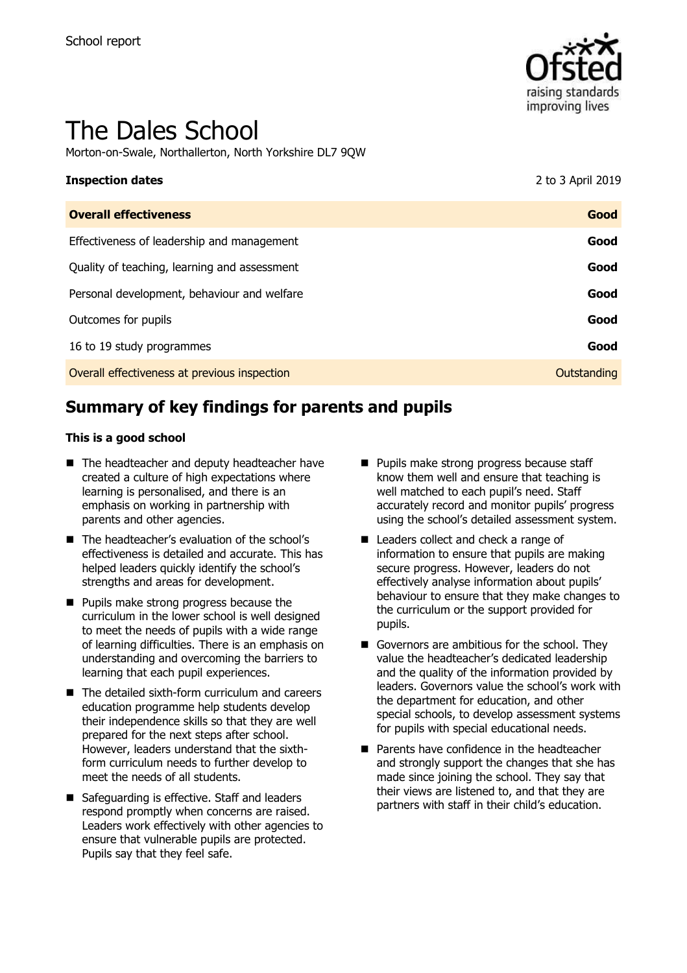

# The Dales School

Morton-on-Swale, Northallerton, North Yorkshire DL7 9QW

| <b>Inspection dates</b>                      | 2 to 3 April 2019 |
|----------------------------------------------|-------------------|
| <b>Overall effectiveness</b>                 | Good              |
| Effectiveness of leadership and management   | Good              |
| Quality of teaching, learning and assessment | Good              |
| Personal development, behaviour and welfare  | Good              |
| Outcomes for pupils                          | Good              |
| 16 to 19 study programmes                    | Good              |
| Overall effectiveness at previous inspection | Outstanding       |

# **Summary of key findings for parents and pupils**

#### **This is a good school**

- The headteacher and deputy headteacher have created a culture of high expectations where learning is personalised, and there is an emphasis on working in partnership with parents and other agencies.
- The headteacher's evaluation of the school's effectiveness is detailed and accurate. This has helped leaders quickly identify the school's strengths and areas for development.
- **Pupils make strong progress because the** curriculum in the lower school is well designed to meet the needs of pupils with a wide range of learning difficulties. There is an emphasis on understanding and overcoming the barriers to learning that each pupil experiences.
- The detailed sixth-form curriculum and careers education programme help students develop their independence skills so that they are well prepared for the next steps after school. However, leaders understand that the sixthform curriculum needs to further develop to meet the needs of all students.
- Safeguarding is effective. Staff and leaders respond promptly when concerns are raised. Leaders work effectively with other agencies to ensure that vulnerable pupils are protected. Pupils say that they feel safe.
- **Pupils make strong progress because staff** know them well and ensure that teaching is well matched to each pupil's need. Staff accurately record and monitor pupils' progress using the school's detailed assessment system.
- Leaders collect and check a range of information to ensure that pupils are making secure progress. However, leaders do not effectively analyse information about pupils' behaviour to ensure that they make changes to the curriculum or the support provided for pupils.
- Governors are ambitious for the school. They value the headteacher's dedicated leadership and the quality of the information provided by leaders. Governors value the school's work with the department for education, and other special schools, to develop assessment systems for pupils with special educational needs.
- **Parents have confidence in the headteacher** and strongly support the changes that she has made since joining the school. They say that their views are listened to, and that they are partners with staff in their child's education.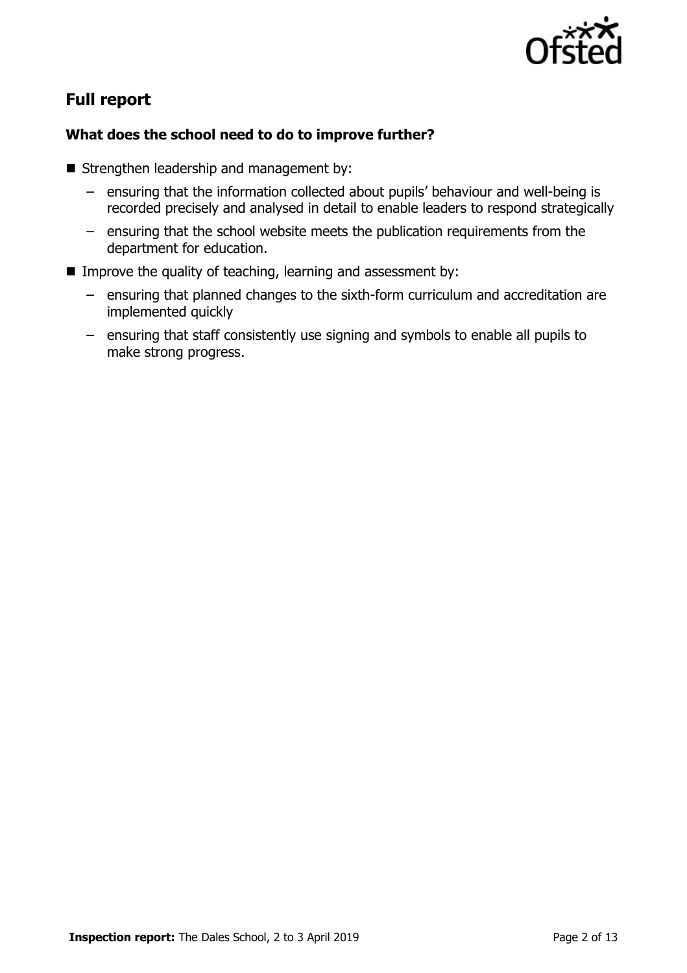

# **Full report**

### **What does the school need to do to improve further?**

- Strengthen leadership and management by:
	- ensuring that the information collected about pupils' behaviour and well-being is recorded precisely and analysed in detail to enable leaders to respond strategically
	- ensuring that the school website meets the publication requirements from the department for education.
- Improve the quality of teaching, learning and assessment by:
	- ensuring that planned changes to the sixth-form curriculum and accreditation are implemented quickly
	- ensuring that staff consistently use signing and symbols to enable all pupils to make strong progress.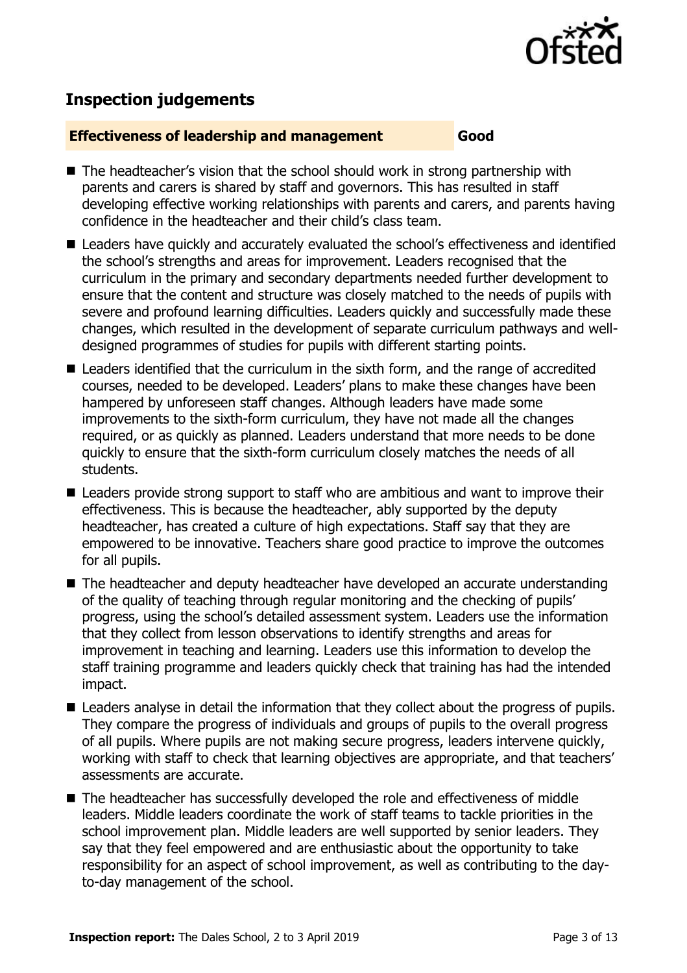

# **Inspection judgements**

#### **Effectiveness of leadership and management Good**

- The headteacher's vision that the school should work in strong partnership with parents and carers is shared by staff and governors. This has resulted in staff developing effective working relationships with parents and carers, and parents having confidence in the headteacher and their child's class team.
- Leaders have quickly and accurately evaluated the school's effectiveness and identified the school's strengths and areas for improvement. Leaders recognised that the curriculum in the primary and secondary departments needed further development to ensure that the content and structure was closely matched to the needs of pupils with severe and profound learning difficulties. Leaders quickly and successfully made these changes, which resulted in the development of separate curriculum pathways and welldesigned programmes of studies for pupils with different starting points.
- Leaders identified that the curriculum in the sixth form, and the range of accredited courses, needed to be developed. Leaders' plans to make these changes have been hampered by unforeseen staff changes. Although leaders have made some improvements to the sixth-form curriculum, they have not made all the changes required, or as quickly as planned. Leaders understand that more needs to be done quickly to ensure that the sixth-form curriculum closely matches the needs of all students.
- Leaders provide strong support to staff who are ambitious and want to improve their effectiveness. This is because the headteacher, ably supported by the deputy headteacher, has created a culture of high expectations. Staff say that they are empowered to be innovative. Teachers share good practice to improve the outcomes for all pupils.
- The headteacher and deputy headteacher have developed an accurate understanding of the quality of teaching through regular monitoring and the checking of pupils' progress, using the school's detailed assessment system. Leaders use the information that they collect from lesson observations to identify strengths and areas for improvement in teaching and learning. Leaders use this information to develop the staff training programme and leaders quickly check that training has had the intended impact.
- Leaders analyse in detail the information that they collect about the progress of pupils. They compare the progress of individuals and groups of pupils to the overall progress of all pupils. Where pupils are not making secure progress, leaders intervene quickly, working with staff to check that learning objectives are appropriate, and that teachers' assessments are accurate.
- The headteacher has successfully developed the role and effectiveness of middle leaders. Middle leaders coordinate the work of staff teams to tackle priorities in the school improvement plan. Middle leaders are well supported by senior leaders. They say that they feel empowered and are enthusiastic about the opportunity to take responsibility for an aspect of school improvement, as well as contributing to the dayto-day management of the school.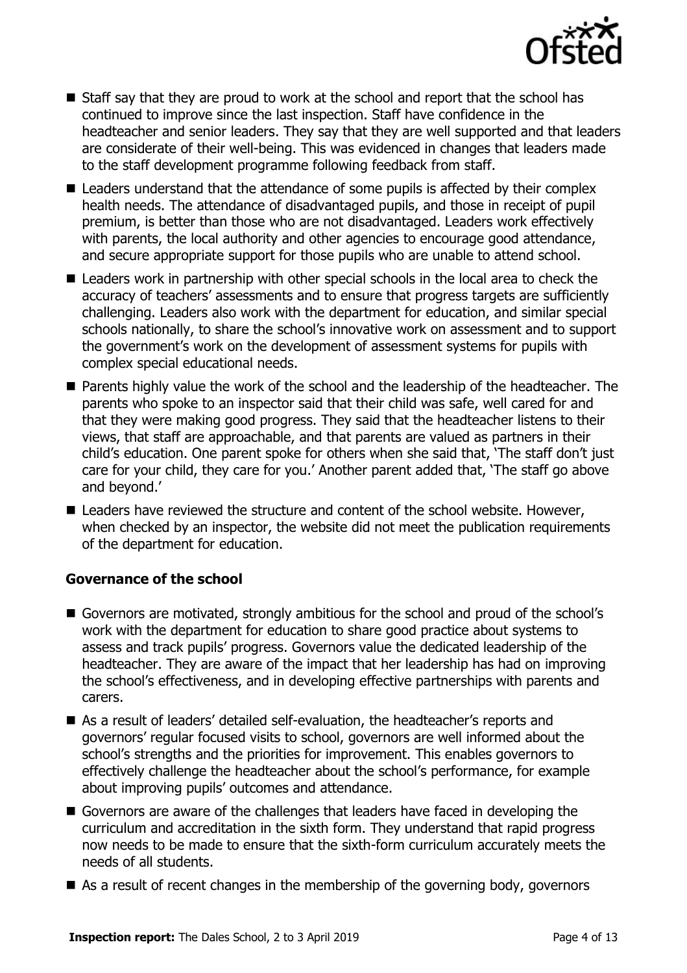

- Staff say that they are proud to work at the school and report that the school has continued to improve since the last inspection. Staff have confidence in the headteacher and senior leaders. They say that they are well supported and that leaders are considerate of their well-being. This was evidenced in changes that leaders made to the staff development programme following feedback from staff.
- Leaders understand that the attendance of some pupils is affected by their complex health needs. The attendance of disadvantaged pupils, and those in receipt of pupil premium, is better than those who are not disadvantaged. Leaders work effectively with parents, the local authority and other agencies to encourage good attendance, and secure appropriate support for those pupils who are unable to attend school.
- Leaders work in partnership with other special schools in the local area to check the accuracy of teachers' assessments and to ensure that progress targets are sufficiently challenging. Leaders also work with the department for education, and similar special schools nationally, to share the school's innovative work on assessment and to support the government's work on the development of assessment systems for pupils with complex special educational needs.
- **Parents highly value the work of the school and the leadership of the headteacher. The** parents who spoke to an inspector said that their child was safe, well cared for and that they were making good progress. They said that the headteacher listens to their views, that staff are approachable, and that parents are valued as partners in their child's education. One parent spoke for others when she said that, 'The staff don't just care for your child, they care for you.' Another parent added that, 'The staff go above and beyond.'
- Leaders have reviewed the structure and content of the school website. However, when checked by an inspector, the website did not meet the publication requirements of the department for education.

#### **Governance of the school**

- Governors are motivated, strongly ambitious for the school and proud of the school's work with the department for education to share good practice about systems to assess and track pupils' progress. Governors value the dedicated leadership of the headteacher. They are aware of the impact that her leadership has had on improving the school's effectiveness, and in developing effective partnerships with parents and carers.
- As a result of leaders' detailed self-evaluation, the headteacher's reports and governors' regular focused visits to school, governors are well informed about the school's strengths and the priorities for improvement. This enables governors to effectively challenge the headteacher about the school's performance, for example about improving pupils' outcomes and attendance.
- Governors are aware of the challenges that leaders have faced in developing the curriculum and accreditation in the sixth form. They understand that rapid progress now needs to be made to ensure that the sixth-form curriculum accurately meets the needs of all students.
- $\blacksquare$  As a result of recent changes in the membership of the governing body, governors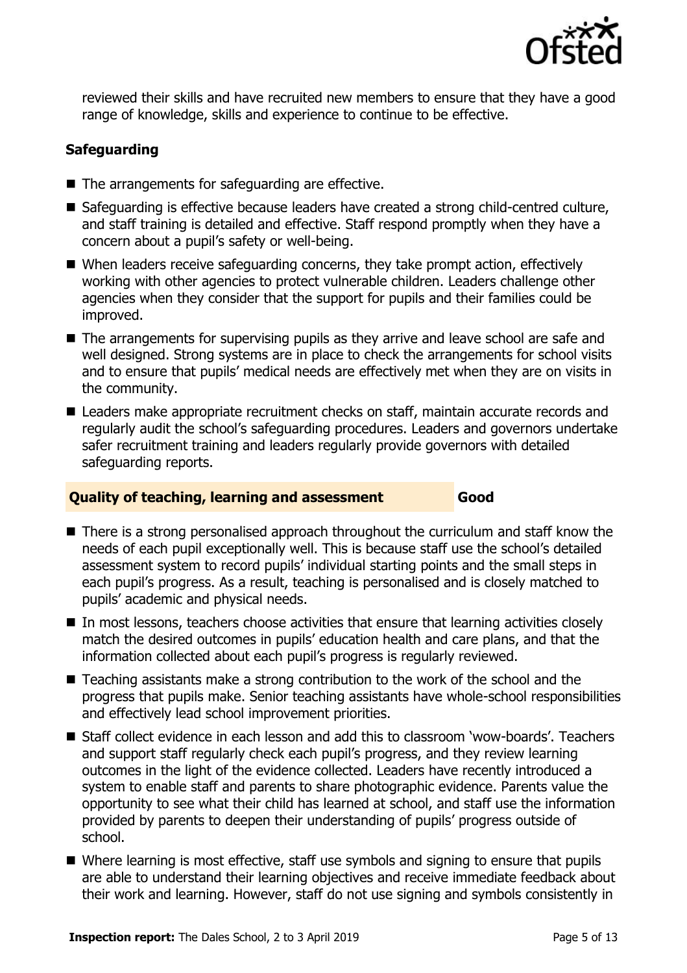

reviewed their skills and have recruited new members to ensure that they have a good range of knowledge, skills and experience to continue to be effective.

### **Safeguarding**

- $\blacksquare$  The arrangements for safeguarding are effective.
- $\blacksquare$  Safeguarding is effective because leaders have created a strong child-centred culture, and staff training is detailed and effective. Staff respond promptly when they have a concern about a pupil's safety or well-being.
- When leaders receive safeguarding concerns, they take prompt action, effectively working with other agencies to protect vulnerable children. Leaders challenge other agencies when they consider that the support for pupils and their families could be improved.
- The arrangements for supervising pupils as they arrive and leave school are safe and well designed. Strong systems are in place to check the arrangements for school visits and to ensure that pupils' medical needs are effectively met when they are on visits in the community.
- Leaders make appropriate recruitment checks on staff, maintain accurate records and regularly audit the school's safeguarding procedures. Leaders and governors undertake safer recruitment training and leaders regularly provide governors with detailed safeguarding reports.

#### **Quality of teaching, learning and assessment Good**

- There is a strong personalised approach throughout the curriculum and staff know the needs of each pupil exceptionally well. This is because staff use the school's detailed assessment system to record pupils' individual starting points and the small steps in each pupil's progress. As a result, teaching is personalised and is closely matched to pupils' academic and physical needs.
- In most lessons, teachers choose activities that ensure that learning activities closely match the desired outcomes in pupils' education health and care plans, and that the information collected about each pupil's progress is regularly reviewed.
- Teaching assistants make a strong contribution to the work of the school and the progress that pupils make. Senior teaching assistants have whole-school responsibilities and effectively lead school improvement priorities.
- Staff collect evidence in each lesson and add this to classroom 'wow-boards'. Teachers and support staff regularly check each pupil's progress, and they review learning outcomes in the light of the evidence collected. Leaders have recently introduced a system to enable staff and parents to share photographic evidence. Parents value the opportunity to see what their child has learned at school, and staff use the information provided by parents to deepen their understanding of pupils' progress outside of school.
- Where learning is most effective, staff use symbols and signing to ensure that pupils are able to understand their learning objectives and receive immediate feedback about their work and learning. However, staff do not use signing and symbols consistently in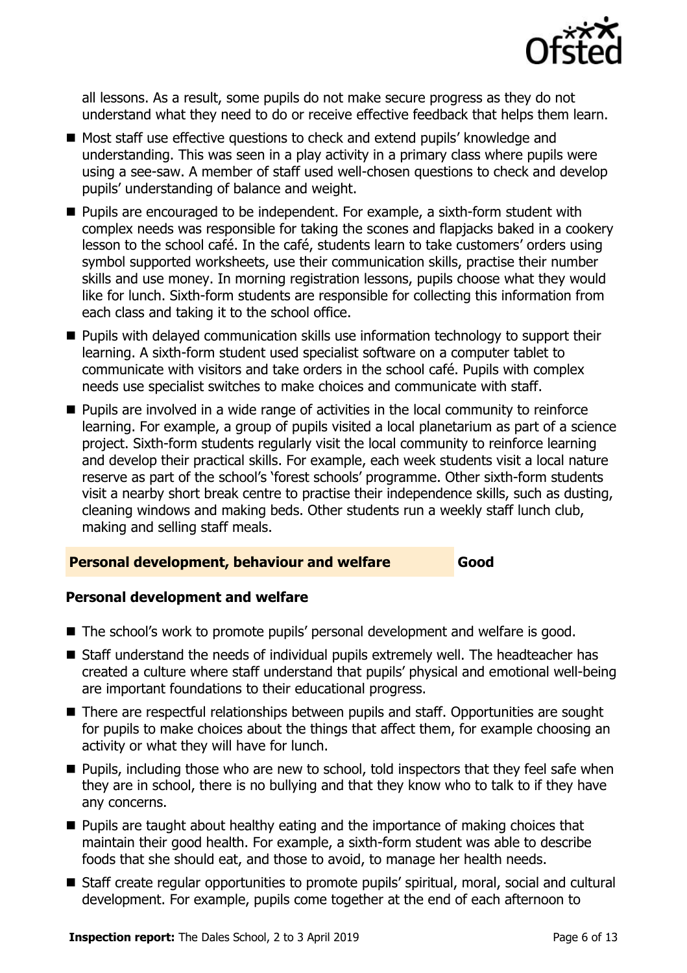

all lessons. As a result, some pupils do not make secure progress as they do not understand what they need to do or receive effective feedback that helps them learn.

- Most staff use effective questions to check and extend pupils' knowledge and understanding. This was seen in a play activity in a primary class where pupils were using a see-saw. A member of staff used well-chosen questions to check and develop pupils' understanding of balance and weight.
- Pupils are encouraged to be independent. For example, a sixth-form student with complex needs was responsible for taking the scones and flapjacks baked in a cookery lesson to the school café. In the café, students learn to take customers' orders using symbol supported worksheets, use their communication skills, practise their number skills and use money. In morning registration lessons, pupils choose what they would like for lunch. Sixth-form students are responsible for collecting this information from each class and taking it to the school office.
- **Pupils with delayed communication skills use information technology to support their** learning. A sixth-form student used specialist software on a computer tablet to communicate with visitors and take orders in the school café. Pupils with complex needs use specialist switches to make choices and communicate with staff.
- **Pupils are involved in a wide range of activities in the local community to reinforce** learning. For example, a group of pupils visited a local planetarium as part of a science project. Sixth-form students regularly visit the local community to reinforce learning and develop their practical skills. For example, each week students visit a local nature reserve as part of the school's 'forest schools' programme. Other sixth-form students visit a nearby short break centre to practise their independence skills, such as dusting, cleaning windows and making beds. Other students run a weekly staff lunch club, making and selling staff meals.

#### **Personal development, behaviour and welfare Good**

#### **Personal development and welfare**

- The school's work to promote pupils' personal development and welfare is good.
- Staff understand the needs of individual pupils extremely well. The headteacher has created a culture where staff understand that pupils' physical and emotional well-being are important foundations to their educational progress.
- There are respectful relationships between pupils and staff. Opportunities are sought for pupils to make choices about the things that affect them, for example choosing an activity or what they will have for lunch.
- **Pupils, including those who are new to school, told inspectors that they feel safe when** they are in school, there is no bullying and that they know who to talk to if they have any concerns.
- $\blacksquare$  Pupils are taught about healthy eating and the importance of making choices that maintain their good health. For example, a sixth-form student was able to describe foods that she should eat, and those to avoid, to manage her health needs.
- Staff create regular opportunities to promote pupils' spiritual, moral, social and cultural development. For example, pupils come together at the end of each afternoon to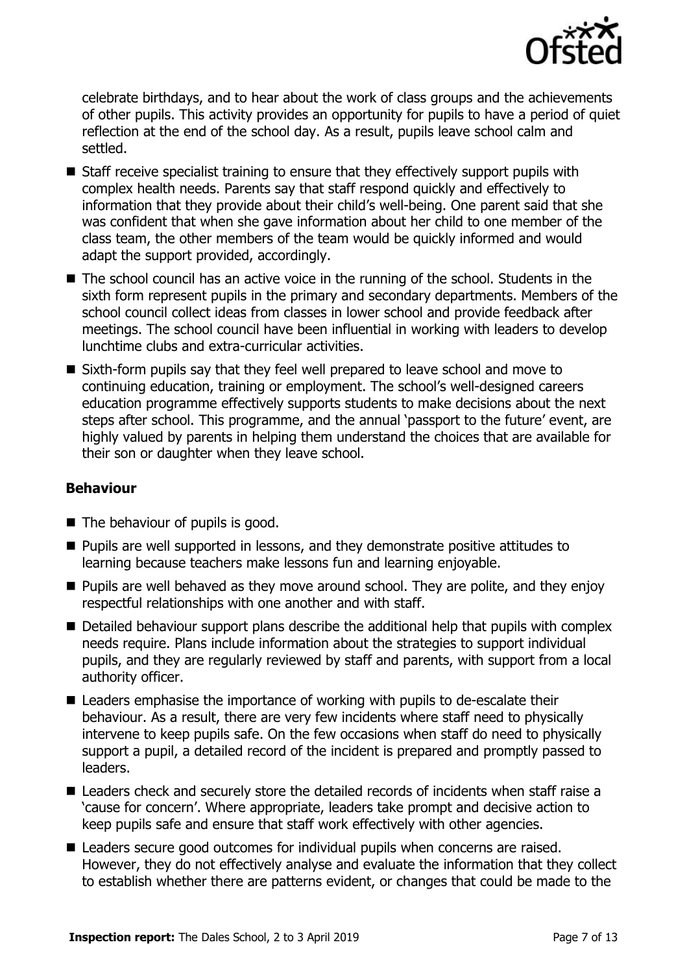

celebrate birthdays, and to hear about the work of class groups and the achievements of other pupils. This activity provides an opportunity for pupils to have a period of quiet reflection at the end of the school day. As a result, pupils leave school calm and settled.

- Staff receive specialist training to ensure that they effectively support pupils with complex health needs. Parents say that staff respond quickly and effectively to information that they provide about their child's well-being. One parent said that she was confident that when she gave information about her child to one member of the class team, the other members of the team would be quickly informed and would adapt the support provided, accordingly.
- The school council has an active voice in the running of the school. Students in the sixth form represent pupils in the primary and secondary departments. Members of the school council collect ideas from classes in lower school and provide feedback after meetings. The school council have been influential in working with leaders to develop lunchtime clubs and extra-curricular activities.
- Sixth-form pupils say that they feel well prepared to leave school and move to continuing education, training or employment. The school's well-designed careers education programme effectively supports students to make decisions about the next steps after school. This programme, and the annual 'passport to the future' event, are highly valued by parents in helping them understand the choices that are available for their son or daughter when they leave school.

#### **Behaviour**

- The behaviour of pupils is good.
- **Pupils are well supported in lessons, and they demonstrate positive attitudes to** learning because teachers make lessons fun and learning enjoyable.
- **Pupils are well behaved as they move around school. They are polite, and they enjoy** respectful relationships with one another and with staff.
- Detailed behaviour support plans describe the additional help that pupils with complex needs require. Plans include information about the strategies to support individual pupils, and they are regularly reviewed by staff and parents, with support from a local authority officer.
- Leaders emphasise the importance of working with pupils to de-escalate their behaviour. As a result, there are very few incidents where staff need to physically intervene to keep pupils safe. On the few occasions when staff do need to physically support a pupil, a detailed record of the incident is prepared and promptly passed to leaders.
- Leaders check and securely store the detailed records of incidents when staff raise a 'cause for concern'. Where appropriate, leaders take prompt and decisive action to keep pupils safe and ensure that staff work effectively with other agencies.
- Leaders secure good outcomes for individual pupils when concerns are raised. However, they do not effectively analyse and evaluate the information that they collect to establish whether there are patterns evident, or changes that could be made to the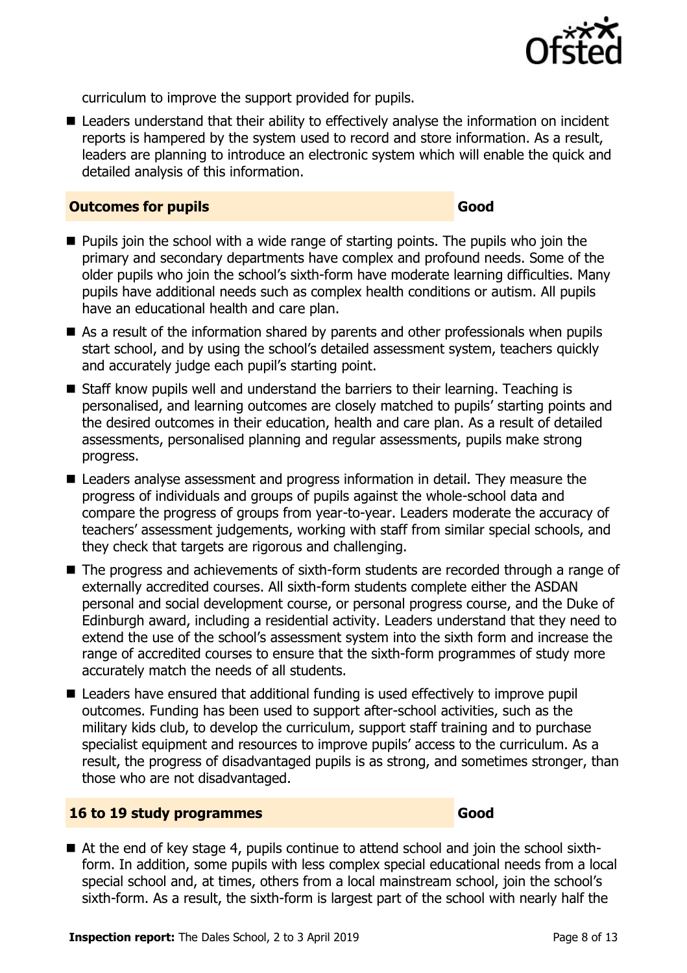

curriculum to improve the support provided for pupils.

■ Leaders understand that their ability to effectively analyse the information on incident reports is hampered by the system used to record and store information. As a result, leaders are planning to introduce an electronic system which will enable the quick and detailed analysis of this information.

#### **Outcomes for pupils Good**

- **Pupils join the school with a wide range of starting points. The pupils who join the** primary and secondary departments have complex and profound needs. Some of the older pupils who join the school's sixth-form have moderate learning difficulties. Many pupils have additional needs such as complex health conditions or autism. All pupils have an educational health and care plan.
- As a result of the information shared by parents and other professionals when pupils start school, and by using the school's detailed assessment system, teachers quickly and accurately judge each pupil's starting point.
- Staff know pupils well and understand the barriers to their learning. Teaching is personalised, and learning outcomes are closely matched to pupils' starting points and the desired outcomes in their education, health and care plan. As a result of detailed assessments, personalised planning and regular assessments, pupils make strong progress.
- Leaders analyse assessment and progress information in detail. They measure the progress of individuals and groups of pupils against the whole-school data and compare the progress of groups from year-to-year. Leaders moderate the accuracy of teachers' assessment judgements, working with staff from similar special schools, and they check that targets are rigorous and challenging.
- The progress and achievements of sixth-form students are recorded through a range of externally accredited courses. All sixth-form students complete either the ASDAN personal and social development course, or personal progress course, and the Duke of Edinburgh award, including a residential activity. Leaders understand that they need to extend the use of the school's assessment system into the sixth form and increase the range of accredited courses to ensure that the sixth-form programmes of study more accurately match the needs of all students.
- Leaders have ensured that additional funding is used effectively to improve pupil outcomes. Funding has been used to support after-school activities, such as the military kids club, to develop the curriculum, support staff training and to purchase specialist equipment and resources to improve pupils' access to the curriculum. As a result, the progress of disadvantaged pupils is as strong, and sometimes stronger, than those who are not disadvantaged.

#### **16 to 19 study programmes Good**

■ At the end of key stage 4, pupils continue to attend school and join the school sixthform. In addition, some pupils with less complex special educational needs from a local special school and, at times, others from a local mainstream school, join the school's sixth-form. As a result, the sixth-form is largest part of the school with nearly half the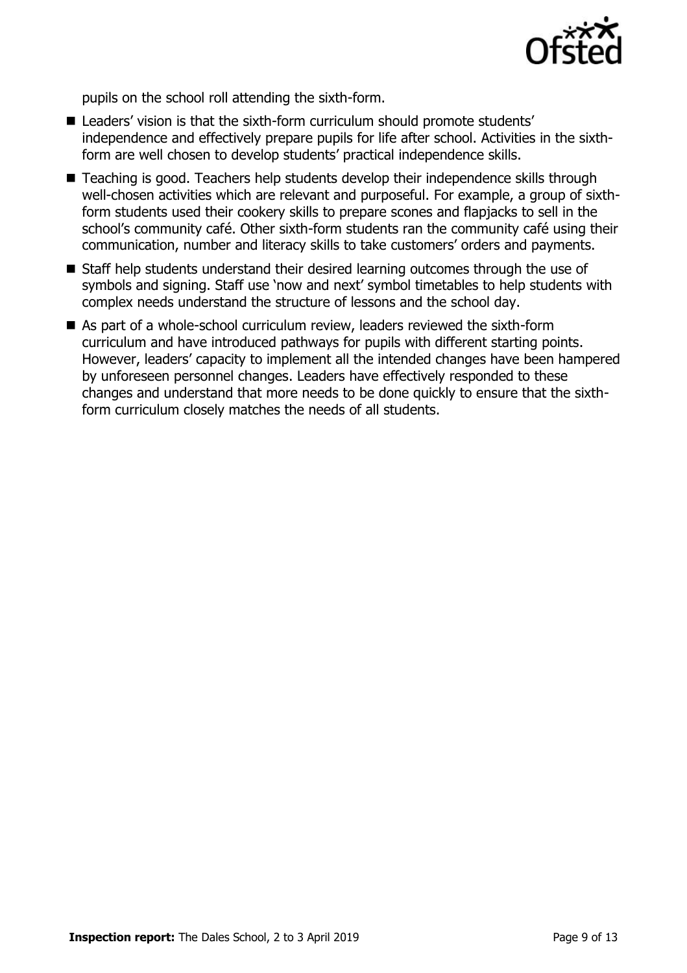

pupils on the school roll attending the sixth-form.

- Leaders' vision is that the sixth-form curriculum should promote students' independence and effectively prepare pupils for life after school. Activities in the sixthform are well chosen to develop students' practical independence skills.
- Teaching is good. Teachers help students develop their independence skills through well-chosen activities which are relevant and purposeful. For example, a group of sixthform students used their cookery skills to prepare scones and flapjacks to sell in the school's community café. Other sixth-form students ran the community café using their communication, number and literacy skills to take customers' orders and payments.
- Staff help students understand their desired learning outcomes through the use of symbols and signing. Staff use 'now and next' symbol timetables to help students with complex needs understand the structure of lessons and the school day.
- As part of a whole-school curriculum review, leaders reviewed the sixth-form curriculum and have introduced pathways for pupils with different starting points. However, leaders' capacity to implement all the intended changes have been hampered by unforeseen personnel changes. Leaders have effectively responded to these changes and understand that more needs to be done quickly to ensure that the sixthform curriculum closely matches the needs of all students.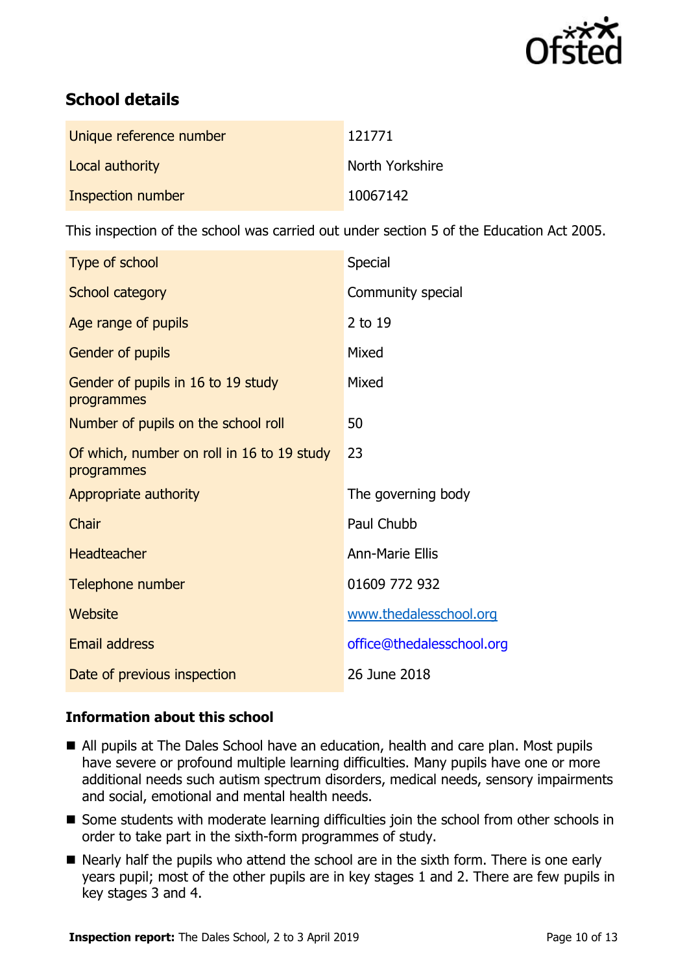

# **School details**

| Unique reference number | 121771          |
|-------------------------|-----------------|
| Local authority         | North Yorkshire |
| Inspection number       | 10067142        |

This inspection of the school was carried out under section 5 of the Education Act 2005.

| Type of school                                           | Special                   |
|----------------------------------------------------------|---------------------------|
| <b>School category</b>                                   | Community special         |
| Age range of pupils                                      | 2 to 19                   |
| Gender of pupils                                         | Mixed                     |
| Gender of pupils in 16 to 19 study<br>programmes         | Mixed                     |
| Number of pupils on the school roll                      | 50                        |
| Of which, number on roll in 16 to 19 study<br>programmes | 23                        |
| Appropriate authority                                    | The governing body        |
| Chair                                                    | Paul Chubb                |
| <b>Headteacher</b>                                       | <b>Ann-Marie Ellis</b>    |
| Telephone number                                         | 01609 772 932             |
| Website                                                  | www.thedalesschool.org    |
| <b>Email address</b>                                     | office@thedalesschool.org |
| Date of previous inspection                              | 26 June 2018              |

#### **Information about this school**

- All pupils at The Dales School have an education, health and care plan. Most pupils have severe or profound multiple learning difficulties. Many pupils have one or more additional needs such autism spectrum disorders, medical needs, sensory impairments and social, emotional and mental health needs.
- Some students with moderate learning difficulties join the school from other schools in order to take part in the sixth-form programmes of study.
- Nearly half the pupils who attend the school are in the sixth form. There is one early years pupil; most of the other pupils are in key stages 1 and 2. There are few pupils in key stages 3 and 4.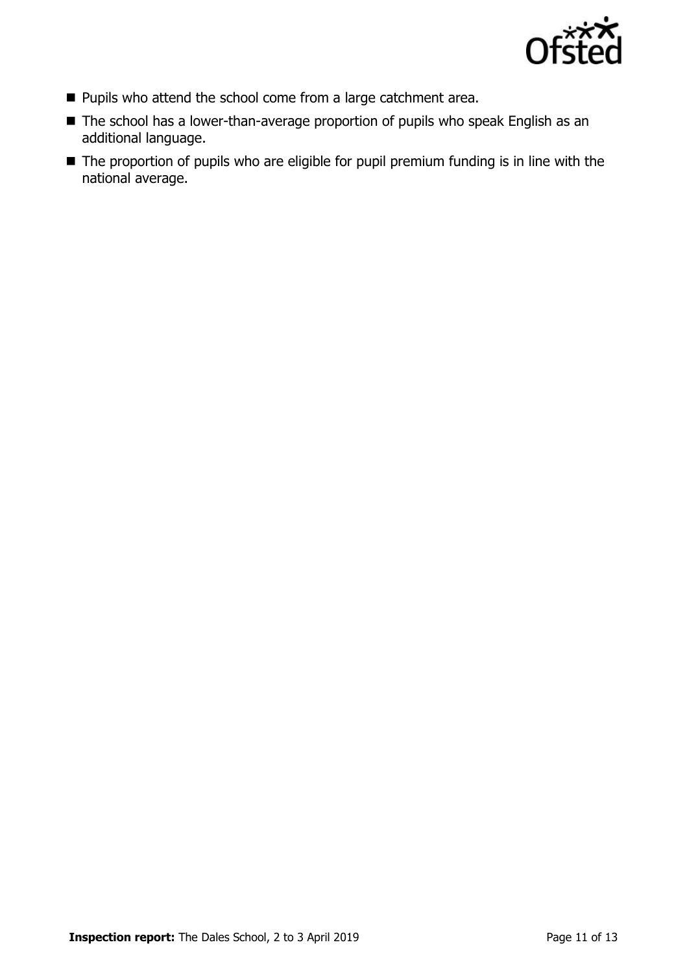

- **Pupils who attend the school come from a large catchment area.**
- The school has a lower-than-average proportion of pupils who speak English as an additional language.
- The proportion of pupils who are eligible for pupil premium funding is in line with the national average.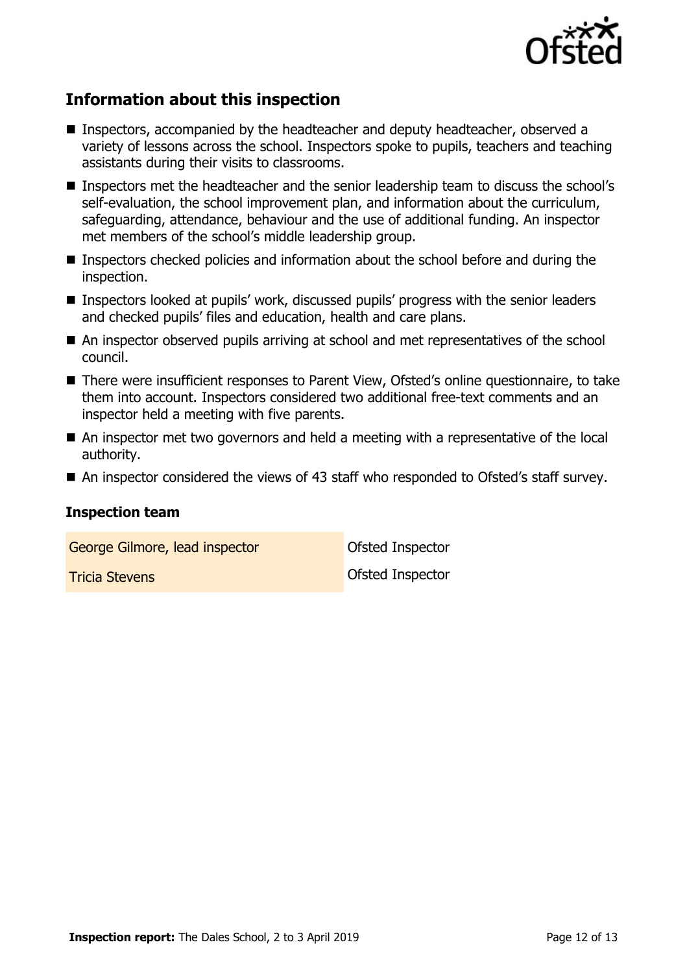

# **Information about this inspection**

- Inspectors, accompanied by the headteacher and deputy headteacher, observed a variety of lessons across the school. Inspectors spoke to pupils, teachers and teaching assistants during their visits to classrooms.
- Inspectors met the headteacher and the senior leadership team to discuss the school's self-evaluation, the school improvement plan, and information about the curriculum, safeguarding, attendance, behaviour and the use of additional funding. An inspector met members of the school's middle leadership group.
- Inspectors checked policies and information about the school before and during the inspection.
- Inspectors looked at pupils' work, discussed pupils' progress with the senior leaders and checked pupils' files and education, health and care plans.
- An inspector observed pupils arriving at school and met representatives of the school council.
- There were insufficient responses to Parent View, Ofsted's online questionnaire, to take them into account. Inspectors considered two additional free-text comments and an inspector held a meeting with five parents.
- An inspector met two governors and held a meeting with a representative of the local authority.
- An inspector considered the views of 43 staff who responded to Ofsted's staff survey.

#### **Inspection team**

George Gilmore, lead inspector **Contact Contact Contact Contact Contact Contact Contact Contact Contact Contact** 

**Tricia Stevens Contract Inspector Ofsted Inspector**